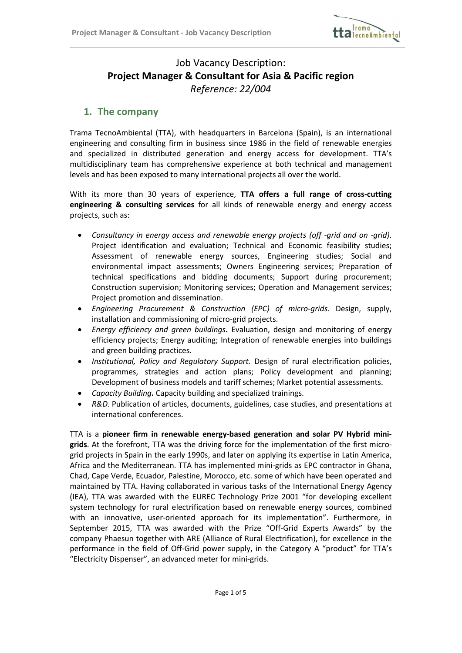

# Job Vacancy Description: Project Manager & Consultant for Asia & Pacific region Reference: 22/004

## 1. The company

 $\overline{a}$ 

Trama TecnoAmbiental (TTA), with headquarters in Barcelona (Spain), is an international engineering and consulting firm in business since 1986 in the field of renewable energies and specialized in distributed generation and energy access for development. TTA's multidisciplinary team has comprehensive experience at both technical and management levels and has been exposed to many international projects all over the world.

With its more than 30 years of experience, TTA offers a full range of cross-cutting engineering & consulting services for all kinds of renewable energy and energy access projects, such as:

- Consultancy in energy access and renewable energy projects (off -grid and on -grid). Project identification and evaluation; Technical and Economic feasibility studies; Assessment of renewable energy sources, Engineering studies; Social and environmental impact assessments; Owners Engineering services; Preparation of technical specifications and bidding documents; Support during procurement; Construction supervision; Monitoring services; Operation and Management services; Project promotion and dissemination.
- Engineering Procurement & Construction (EPC) of micro-grids. Design, supply, installation and commissioning of micro-grid projects.
- Energy efficiency and green buildings. Evaluation, design and monitoring of energy efficiency projects; Energy auditing; Integration of renewable energies into buildings and green building practices.
- Institutional, Policy and Regulatory Support. Design of rural electrification policies, programmes, strategies and action plans; Policy development and planning; Development of business models and tariff schemes; Market potential assessments.
- Capacity Building. Capacity building and specialized trainings.
- R&D. Publication of articles, documents, guidelines, case studies, and presentations at international conferences.

TTA is a pioneer firm in renewable energy-based generation and solar PV Hybrid minigrids. At the forefront, TTA was the driving force for the implementation of the first microgrid projects in Spain in the early 1990s, and later on applying its expertise in Latin America, Africa and the Mediterranean. TTA has implemented mini-grids as EPC contractor in Ghana, Chad, Cape Verde, Ecuador, Palestine, Morocco, etc. some of which have been operated and maintained by TTA. Having collaborated in various tasks of the International Energy Agency (IEA), TTA was awarded with the EUREC Technology Prize 2001 "for developing excellent system technology for rural electrification based on renewable energy sources, combined with an innovative, user-oriented approach for its implementation". Furthermore, in September 2015, TTA was awarded with the Prize "Off-Grid Experts Awards" by the company Phaesun together with ARE (Alliance of Rural Electrification), for excellence in the performance in the field of Off-Grid power supply, in the Category A "product" for TTA's "Electricity Dispenser", an advanced meter for mini-grids.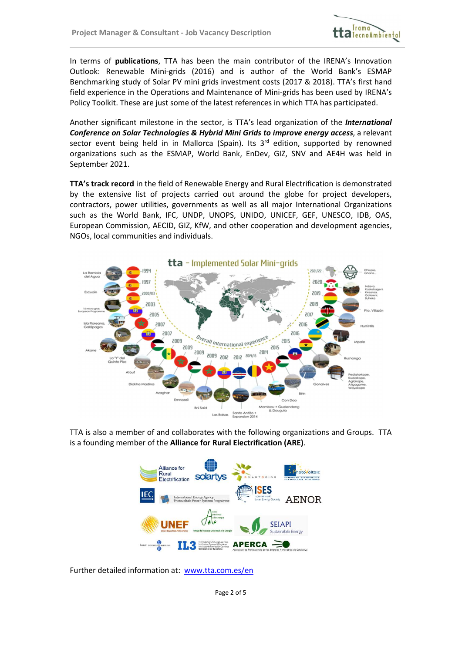$\overline{a}$ 



In terms of *publications*, TTA has been the main contributor of the IRENA's Innovation Outlook: Renewable Mini-grids (2016) and is author of the World Bank's ESMAP Benchmarking study of Solar PV mini grids investment costs (2017 & 2018). TTA's first hand field experience in the Operations and Maintenance of Mini-grids has been used by IRENA's Policy Toolkit. These are just some of the latest references in which TTA has participated.

Another significant milestone in the sector, is TTA's lead organization of the *International* Conference on Solar Technologies & Hybrid Mini Grids to improve energy access, a relevant sector event being held in in Mallorca (Spain). Its  $3<sup>rd</sup>$  edition, supported by renowned organizations such as the ESMAP, World Bank, EnDev, GIZ, SNV and AE4H was held in September 2021.

TTA's track record in the field of Renewable Energy and Rural Electrification is demonstrated by the extensive list of projects carried out around the globe for project developers, contractors, power utilities, governments as well as all major International Organizations such as the World Bank, IFC, UNDP, UNOPS, UNIDO, UNICEF, GEF, UNESCO, IDB, OAS, European Commission, AECID, GIZ, KfW, and other cooperation and development agencies, NGOs, local communities and individuals.



TTA is also a member of and collaborates with the following organizations and Groups. TTA is a founding member of the Alliance for Rural Electrification (ARE).



Further detailed information at: www.tta.com.es/en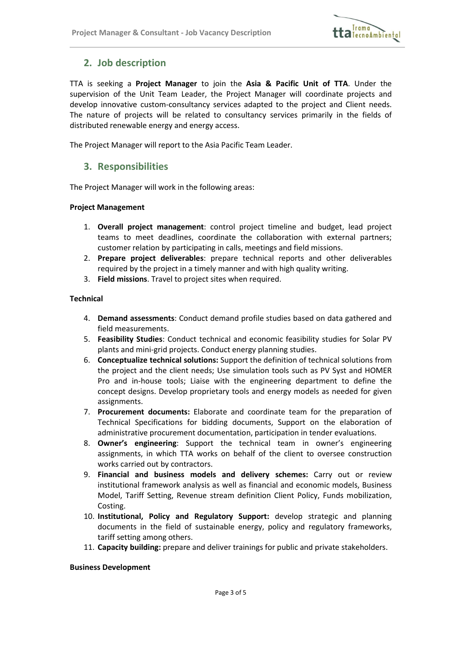

## 2. Job description

 $\overline{a}$ 

TTA is seeking a Project Manager to join the Asia & Pacific Unit of TTA. Under the supervision of the Unit Team Leader, the Project Manager will coordinate projects and develop innovative custom-consultancy services adapted to the project and Client needs. The nature of projects will be related to consultancy services primarily in the fields of distributed renewable energy and energy access.

The Project Manager will report to the Asia Pacific Team Leader.

## 3. Responsibilities

The Project Manager will work in the following areas:

#### Project Management

- 1. Overall project management: control project timeline and budget, lead project teams to meet deadlines, coordinate the collaboration with external partners; customer relation by participating in calls, meetings and field missions.
- 2. Prepare project deliverables: prepare technical reports and other deliverables required by the project in a timely manner and with high quality writing.
- 3. Field missions. Travel to project sites when required.

#### Technical

- 4. Demand assessments: Conduct demand profile studies based on data gathered and field measurements.
- 5. Feasibility Studies: Conduct technical and economic feasibility studies for Solar PV plants and mini-grid projects. Conduct energy planning studies.
- 6. Conceptualize technical solutions: Support the definition of technical solutions from the project and the client needs; Use simulation tools such as PV Syst and HOMER Pro and in-house tools; Liaise with the engineering department to define the concept designs. Develop proprietary tools and energy models as needed for given assignments.
- 7. Procurement documents: Elaborate and coordinate team for the preparation of Technical Specifications for bidding documents, Support on the elaboration of administrative procurement documentation, participation in tender evaluations.
- 8. Owner's engineering: Support the technical team in owner's engineering assignments, in which TTA works on behalf of the client to oversee construction works carried out by contractors.
- 9. Financial and business models and delivery schemes: Carry out or review institutional framework analysis as well as financial and economic models, Business Model, Tariff Setting, Revenue stream definition Client Policy, Funds mobilization, Costing.
- 10. Institutional, Policy and Regulatory Support: develop strategic and planning documents in the field of sustainable energy, policy and regulatory frameworks, tariff setting among others.
- 11. Capacity building: prepare and deliver trainings for public and private stakeholders.

#### Business Development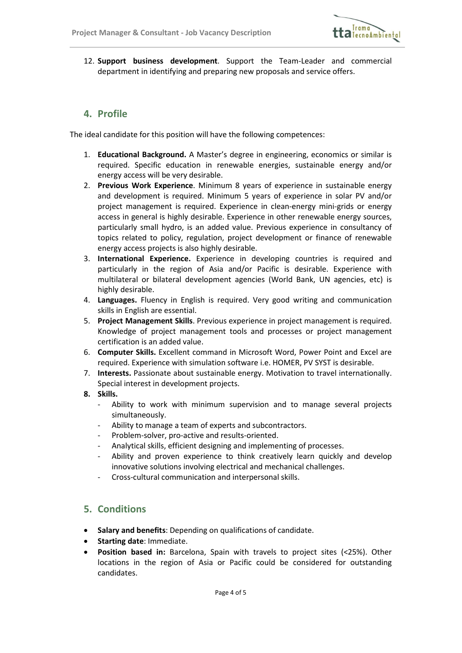

12. Support business development. Support the Team-Leader and commercial department in identifying and preparing new proposals and service offers.

### 4. Profile

 $\overline{a}$ 

The ideal candidate for this position will have the following competences:

- 1. Educational Background. A Master's degree in engineering, economics or similar is required. Specific education in renewable energies, sustainable energy and/or energy access will be very desirable.
- 2. Previous Work Experience. Minimum 8 years of experience in sustainable energy and development is required. Minimum 5 years of experience in solar PV and/or project management is required. Experience in clean-energy mini-grids or energy access in general is highly desirable. Experience in other renewable energy sources, particularly small hydro, is an added value. Previous experience in consultancy of topics related to policy, regulation, project development or finance of renewable energy access projects is also highly desirable.
- 3. International Experience. Experience in developing countries is required and particularly in the region of Asia and/or Pacific is desirable. Experience with multilateral or bilateral development agencies (World Bank, UN agencies, etc) is highly desirable.
- 4. Languages. Fluency in English is required. Very good writing and communication skills in English are essential.
- 5. Project Management Skills. Previous experience in project management is required. Knowledge of project management tools and processes or project management certification is an added value.
- 6. Computer Skills. Excellent command in Microsoft Word, Power Point and Excel are required. Experience with simulation software i.e. HOMER, PV SYST is desirable.
- 7. Interests. Passionate about sustainable energy. Motivation to travel internationally. Special interest in development projects.
- 8. Skills.
	- Ability to work with minimum supervision and to manage several projects simultaneously.
	- Ability to manage a team of experts and subcontractors.
	- Problem-solver, pro-active and results-oriented.
	- Analytical skills, efficient designing and implementing of processes.
	- Ability and proven experience to think creatively learn quickly and develop innovative solutions involving electrical and mechanical challenges.
	- Cross-cultural communication and interpersonal skills.

## 5. Conditions

- Salary and benefits: Depending on qualifications of candidate.
- Starting date: Immediate.
- Position based in: Barcelona, Spain with travels to project sites (<25%). Other locations in the region of Asia or Pacific could be considered for outstanding candidates.